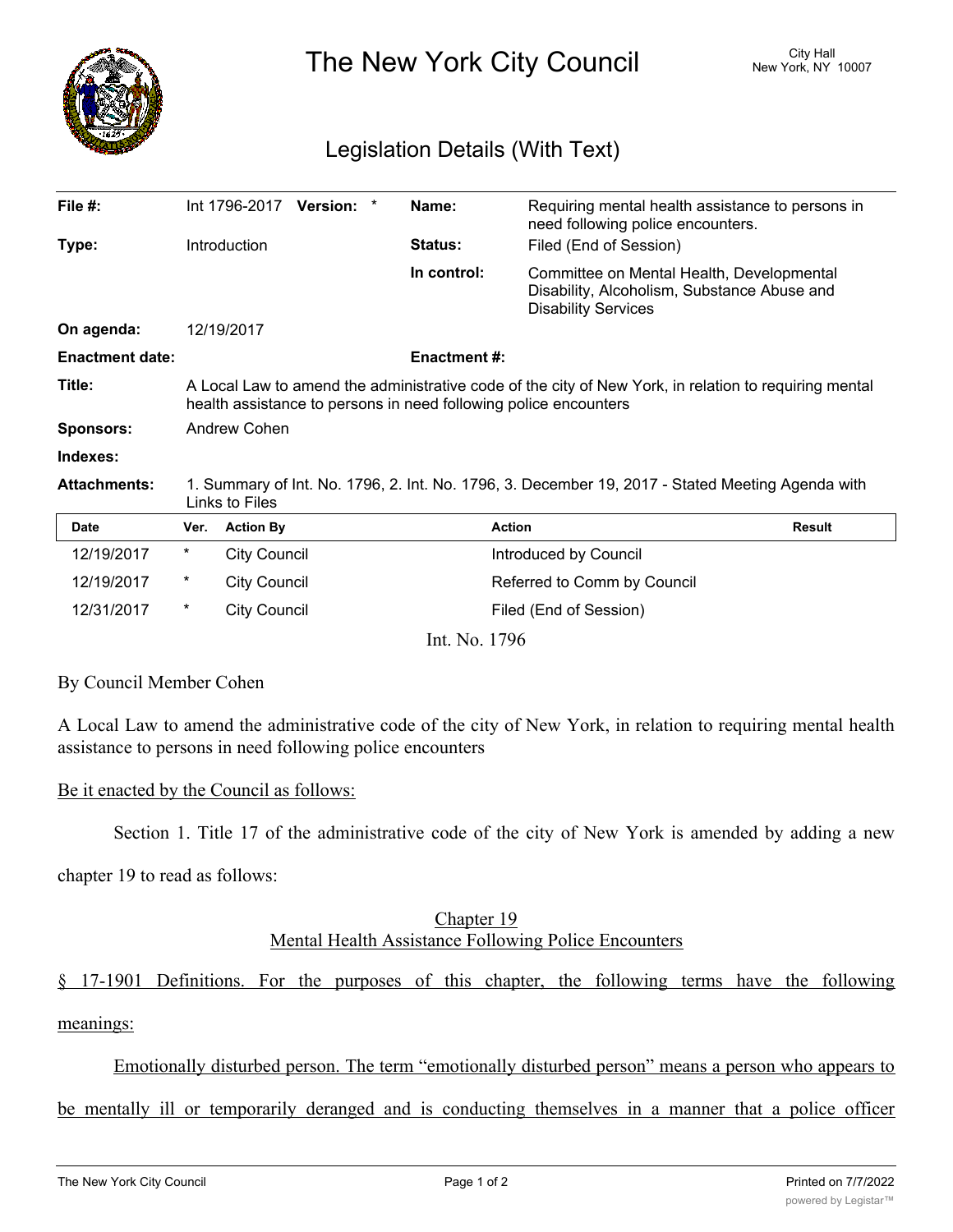

The New York City Council New York, NY 10007

# Legislation Details (With Text)

| File #:                |                                                                                                                                                                           |                     | Int 1796-2017 Version: * |  | Name:               | Requiring mental health assistance to persons in<br>need following police encounters.                                  |               |
|------------------------|---------------------------------------------------------------------------------------------------------------------------------------------------------------------------|---------------------|--------------------------|--|---------------------|------------------------------------------------------------------------------------------------------------------------|---------------|
| Type:                  |                                                                                                                                                                           | <b>Introduction</b> |                          |  | Status:             | Filed (End of Session)                                                                                                 |               |
|                        |                                                                                                                                                                           |                     |                          |  | In control:         | Committee on Mental Health, Developmental<br>Disability, Alcoholism, Substance Abuse and<br><b>Disability Services</b> |               |
| On agenda:             |                                                                                                                                                                           | 12/19/2017          |                          |  |                     |                                                                                                                        |               |
| <b>Enactment date:</b> |                                                                                                                                                                           |                     |                          |  | <b>Enactment #:</b> |                                                                                                                        |               |
| Title:                 | A Local Law to amend the administrative code of the city of New York, in relation to requiring mental<br>health assistance to persons in need following police encounters |                     |                          |  |                     |                                                                                                                        |               |
| <b>Sponsors:</b>       | Andrew Cohen                                                                                                                                                              |                     |                          |  |                     |                                                                                                                        |               |
| Indexes:               |                                                                                                                                                                           |                     |                          |  |                     |                                                                                                                        |               |
| <b>Attachments:</b>    | 1. Summary of Int. No. 1796, 2. Int. No. 1796, 3. December 19, 2017 - Stated Meeting Agenda with<br>Links to Files                                                        |                     |                          |  |                     |                                                                                                                        |               |
| <b>Date</b>            | Ver.                                                                                                                                                                      | <b>Action By</b>    |                          |  |                     | <b>Action</b>                                                                                                          | <b>Result</b> |
| 12/19/2017             | *                                                                                                                                                                         | <b>City Council</b> |                          |  |                     | Introduced by Council                                                                                                  |               |
| 12/19/2017             | *                                                                                                                                                                         | <b>City Council</b> |                          |  |                     | Referred to Comm by Council                                                                                            |               |
| 12/31/2017             | *                                                                                                                                                                         | <b>City Council</b> |                          |  |                     | Filed (End of Session)                                                                                                 |               |

Int. No. 1796

#### By Council Member Cohen

A Local Law to amend the administrative code of the city of New York, in relation to requiring mental health assistance to persons in need following police encounters

#### Be it enacted by the Council as follows:

Section 1. Title 17 of the administrative code of the city of New York is amended by adding a new

chapter 19 to read as follows:

## Chapter 19 Mental Health Assistance Following Police Encounters

§ 17-1901 Definitions. For the purposes of this chapter, the following terms have the following meanings:

### Emotionally disturbed person. The term "emotionally disturbed person" means a person who appears to

be mentally ill or temporarily deranged and is conducting themselves in a manner that a police officer